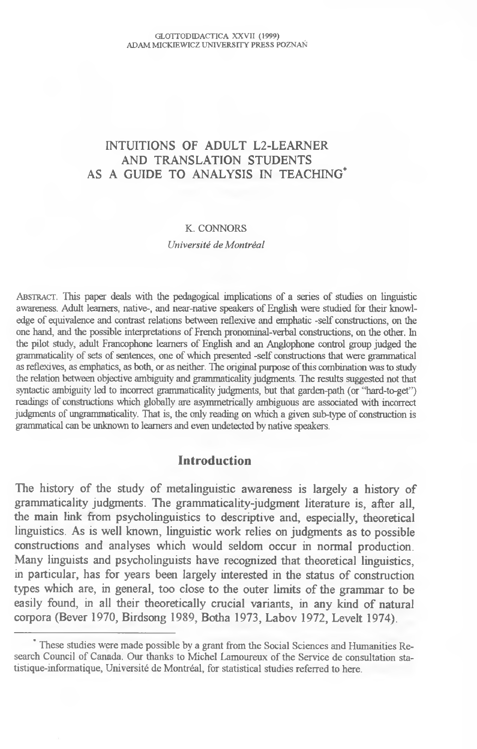# INTUITIONS OF ADULT L2-LEARNER AND TRANSLATION STUDENTS AS A GUIDE TO ANALYSIS IN TEACHING\*

#### K. CONNORS

*Université de Montréal*

ABSTRACT. This paper deals with the pedagogical implications of a series of studies on linguistic awareness. Adult learners, native-, and near-native speakers of English were studied for their knowledge of equivalence and contrast relations between reflexive and emphatic -self constructions, on the one hand, and the possible interpretations of French pronominal-verbal constructions, on the other. In the pilot study, adult Francophone learners of English and an Anglophone control group judged the grammaticality of sets of sentences, one of which presented -self constructions that were grammatical as reflexives, as emphatics, as both, or as neither. The original purpose of this combination was to study the relation between objective ambiguity and grammaticality judgments. The results suggested not that syntactic ambiguity led to incorrect grammaticality judgments, but that garden-path (or "hard-to-get") readings of constructions which globally are asymmetrically ambiguous are associated with incorrect judgments of ungrammaticality. That is, the only reading on which a given sub-type of construction is grammatical can be unknown to learners and even undetected by native speakers.

### **Introduction**

The history of the study of metalinguistic awareness is largely a history of grammaticality judgments. The grammaticality-judgment literature is, after all, the main link from psycholinguistics to descriptive and, especially, theoretical linguistics. As is well known, linguistic work relies on judgments as to possible constructions and analyses which would seldom occur in normal production. Many linguists and psycholinguists have recognized that theoretical linguistics, in particular, has for years been largely interested in the status of construction types which are, in general, too close to the outer limits of the grammar to be easily found, in all their theoretically crucial variants, in any kind of natural corpora (Bever 1970, Birdsong 1989, Botha 1973, Labov 1972, Levelt 1974).

<sup>\*</sup> These studies were made possible by a grant from the Social Sciences and Humanities Research Council of Canada. Our thanks to Michel Lamoureux of the Service de consultation statistique-informatique, Université de Montréal, for statistical studies referred to here.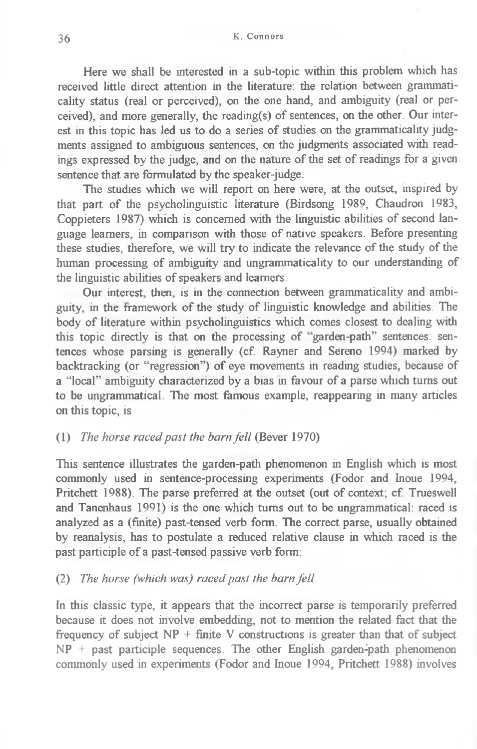Here we shall be interested in a sub-topic within this problem which has received little direct attention in the literature: the relation between grammaticality status (real or perceived), on the one hand, and ambiguity (real or perceived), and more generally, the reading(s) of sentences, on the other. Our interest in this topic has led us to do a series of studies on the grammaticality judgments assigned to ambiguous sentences, on the judgments associated with readings expressed by the judge, and on the nature of the set of readings for a given sentence that are formulated by the speaker-judge.

The studies which we will report on here were, at the outset, inspired by that part of the psycholinguistic literature (Birdsong 1989, Chaudron 1983, Coppieters 1987) which is concerned with the linguistic abilities of second language learners, in comparison with those of native speakers. Before presenting these studies, therefore, we will try to indicate the relevance of the study of the human processing of ambiguity and ungrammaticality to our understanding of the linguistic abilities of speakers and learners.

Our interest, then, is in the connection between grammaticality and ambiguity, in the framework of the study of linguistic knowledge and abilities. The body of literature within psycholinguistics which comes closest to dealing with this topic directly is that on the processing of "garden-path" sentences: sentences whose parsing is generally (cf. Rayner and Sereno 1994) marked by backtracking (or "regression") of eye movements in reading studies, because of a "local" ambiguity characterized by a bias in favour of a parse which turns out to be ungrammatical. The most famous example, reappearing in many articles on this topic, is

### (1) *The horse raced past the barn fell* (Bever 1970)

This sentence illustrates the garden-path phenomenon in English which is most commonly used in sentence-processing experiments (Fodor and Inoue 1994, Pritchett 1988). The parse preferred at the outset (out of context; cf. Trueswell and Tanenhaus 1991) is the one which turns out to be ungrammatical: raced is analyzed as a (finite) past-tensed verb form. The correct parse, usually obtained by reanalysis, has to postulate a reduced relative clause in which raced is the past participle of a past-tensed passive verb form:

## (2) *The horse (which was) raced past the barn fell*

In this classic type, it appears that the incorrect parse is temporarily preferred because it does not involve embedding, not to mention the related fact that the frequency of subject  $NP + finite V$  constructions is greater than that of subject  $NP$  + past participle sequences. The other English garden-path phenomenon commonly used in experiments (Fodor and Inoue 1994, Pritchett 1988) involves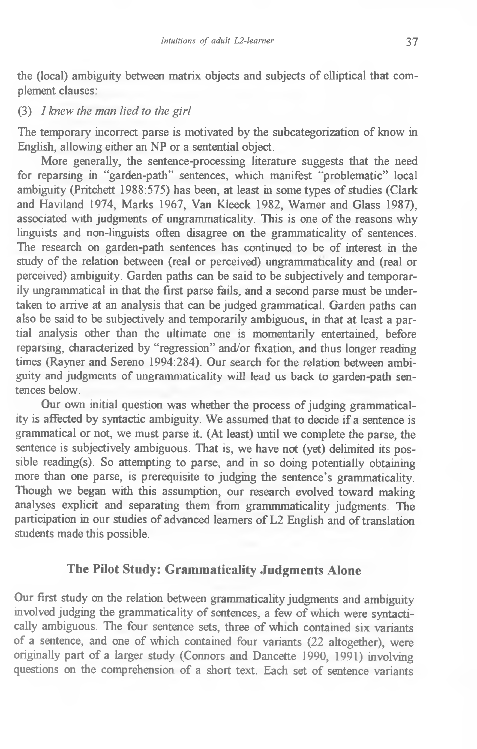the (local) ambiguity between matrix objects and subjects of elliptical that complement clauses:

### (3) *I knew the man lied to the girl*

The temporary incorrect parse is motivated by the subcategorization of know in English, allowing either an NP or a sentential object.

More generally, the sentence-processing literature suggests that the need for reparsing in "garden-path" sentences, which manifest "problematic" local ambiguity (Pritchett 1988:575) has been, at least in some types of studies (Clark and Haviland 1974, Marks 1967, Van Kleeck 1982, Warner and Glass 1987), associated with judgments of ungrammaticality. This is one of the reasons why linguists and non-linguists often disagree on the grammaticality of sentences. The research on garden-path sentences has continued to be of interest in the study of the relation between (real or perceived) ungrammaticality and (real or perceived) ambiguity. Garden paths can be said to be subjectively and temporarily ungrammatical in that the first parse fails, and a second parse must be undertaken to arrive at an analysis that can be judged grammatical. Garden paths can also be said to be subjectively and temporarily ambiguous, in that at least a partial analysis other than the ultimate one is momentarily entertained, before reparsing, characterized by "regression" and/or fixation, and thus longer reading times (Rayner and Sereno 1994:284). Our search for the relation between ambiguity and judgments of ungrammaticality will lead us back to garden-path sentences below.

Our own initial question was whether the process of judging grammaticality is affected by syntactic ambiguity. We assumed that to decide if a sentence is grammatical or not, we must parse it. (At least) until we complete the parse, the sentence is subjectively ambiguous. That is, we have not (yet) delimited its possible reading(s). So attempting to parse, and in so doing potentially obtaining more than one parse, is prerequisite to judging the sentence's grammaticality. Though we began with this assumption, our research evolved toward making analyses explicit and separating them from grammmaticality judgments. The participation in our studies of advanced learners of L2 English and of translation students made this possible.

# **The Pilot Study: Grammaticality Judgments Alone**

Our first study on the relation between grammaticality judgments and ambiguity involved judging the grammaticality of sentences, a few of which were syntactically ambiguous. The four sentence sets, three of which contained six variants of a sentence, and one of which contained four variants (22 altogether), were originally part of a larger study (Connors and Dancette 1990, 1991) involving questions on the comprehension of a short text. Each set of sentence variants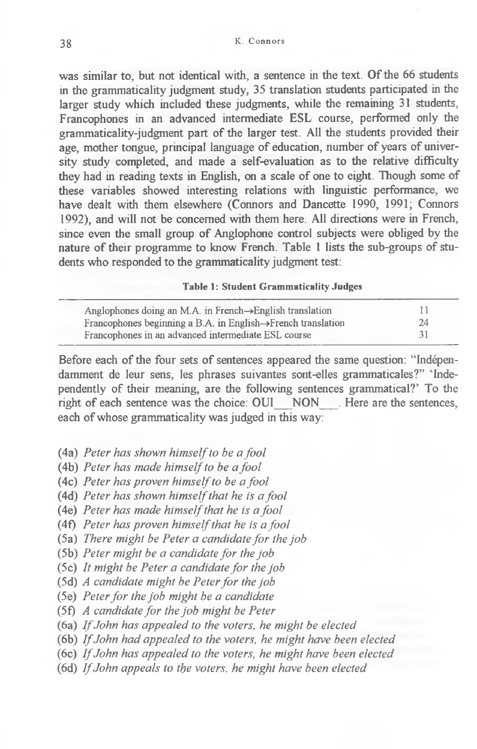was similar to, but not identical with, a sentence in the text. Of the 66 students in the grammatically judgment study, 35 translation students participated in the larger study which included these judgments, while the remaining 31 students, Francophones in an advanced intermediate ESL course, performed only the grammaticality-judgment part of the larger test. All the students provided their age, mother tongue, principal language of education, number of years of university study completed, and made a self-evaluation as to the relative difficulty they had in reading texts in English, on a scale of one to eight. Though some of these variables showed interesting relations with linguistic performance, we have dealt with them elsewhere (Connors and Dancette 1990, 1991; Connors 1992), and will not be concerned with them here. All directions were in French, since even the small group of Anglophone control subjects were obliged by the nature of their programme to know French. Table 1 lists the sub-groups of students who responded to the grammaticality judgment test:

#### **Table 1: Student Grammaticality Judges**

| Anglophones doing an M.A. in French $\rightarrow$ English translation     | 11 |
|---------------------------------------------------------------------------|----|
| Francophones beginning a B.A. in English $\rightarrow$ French translation | 24 |
| Francophones in an advanced intermediate ESL course                       | 31 |

Before each of the four sets of sentences appeared the same question: "Indépendamment de leur sens, les phrases suivantes sont-elles grammaticales?" 'Independently of their meaning, are the following sentences grammatical?' To the right of each sentence was the choice: OUI NON Here are the sentences, each of whose grammaticality was judged in this way:

- (4a) *Peter has shown himself to be a fool*
- (4b) *Peter has made himself to be a fool*
- (4c) *Peter has proven himself to be a fool*
- (4d) *Peter has shown himself that he is a fool*
- (4e) *Peter has made himself that he is a fool*
- (4f) *Peter has proven himself that he is a fool*
- (5 a) *There might be Peter a candidate for the job*
- (5b) *Peter might be a candidate for the job*
- (5c) It might be Peter a candidate for the job
- (5d) *A candidate might be Peter for the job*
- (5e) *Peter fo r the job might be a candidate*
- (5f) *A candidate fo r the job might be Peter*
- (6a) *If John has appealed to the voters, he might be elected*
- (6b) *If John had appealed to the voters, he might have been elected*
- (6c) *If John has appealed to the voters, he might have been elected*
- (6d) *If John appeals to the voters, he might have been elected*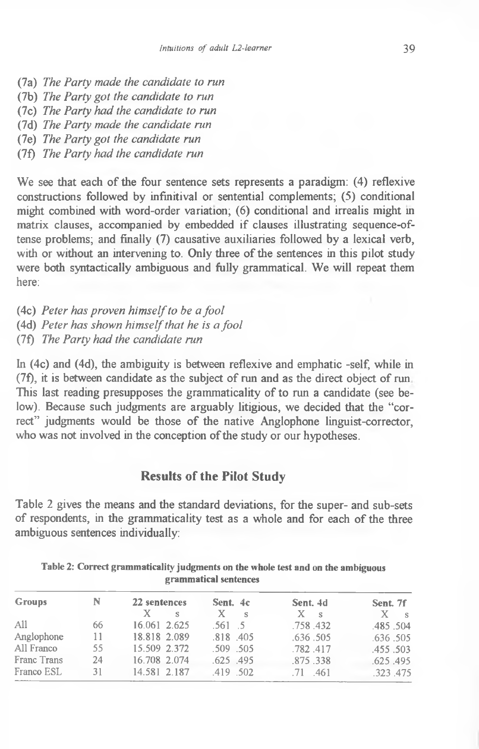- (7a) *The Party made the candidate to run*
- (7b) *The Party got the candidate to run*
- (7c) *The Party had the candidate to run*
- (7d) *The Party made the candidate run*
- (7e) *The Party got the candidate run*
- (7f) *The Party had the candidate run*

We see that each of the four sentence sets represents a paradigm: (4) reflexive constructions followed by infinitival or sentential complements; (5) conditional might combined with word-order variation; (6) conditional and irrealis might in matrix clauses, accompanied by embedded if clauses illustrating sequence-oftense problems; and finally (7) causative auxiliaries followed by a lexical verb, with or without an intervening to. Only three of the sentences in this pilot study were both syntactically ambiguous and fully grammatical. We will repeat them here:

- (4c) *Peter has proven himself to be a fool*
- (4d) *Peter has shown himself that he is a fool*
- (7f) *The Party had the candidate run*

In (4c) and (4d), the ambiguity is between reflexive and emphatic -self, while in (7f), it is between candidate as the subject of run and as the direct object of run This last reading presupposes the grammaticality of to run a candidate (see below). Because such judgments are arguably litigious, we decided that the "correct" judgments would be those of the native Anglophone linguist-corrector, who was not involved in the conception of the study or our hypotheses.

## **Results of the Pilot Study**

Table 2 gives the means and the standard deviations, for the super- and sub-sets of respondents, in the grammaticality test as a whole and for each of the three ambiguous sentences individually:

| <b>Groups</b> | N   | 22 sentences<br>X.<br>s | Sent. 4c<br>X<br>$\sim$ S | Sent. 4d<br>$X \simeq s$ | Sent. 7f<br>$\mathbf{X}$<br>$\sim$ S |
|---------------|-----|-------------------------|---------------------------|--------------------------|--------------------------------------|
| A11           | 66  | 16.061 2.625            | $.561 - .5$               | .758.432                 | .485.504                             |
| Anglophone    | 11. | 18.818 2.089            | $.818$ .405               | .636.505                 | .636.505                             |
| All Franco    | 55  | 15.509 2.372            | .509 .505                 | .782.417                 | .455.503                             |
| Franc Trans   | 24  | 16.708 2.074            | $.625$ $.495$             | .875.338                 | .625.495                             |
| Franco ESL    | 31  | 14.581 2.187            | .419 .502                 | $.71$ $.461$             | .323.475                             |
|               |     |                         |                           |                          |                                      |

**Table 2: Correct grammaticality judgments on the whole test and on the ambiguous grammatical sentences**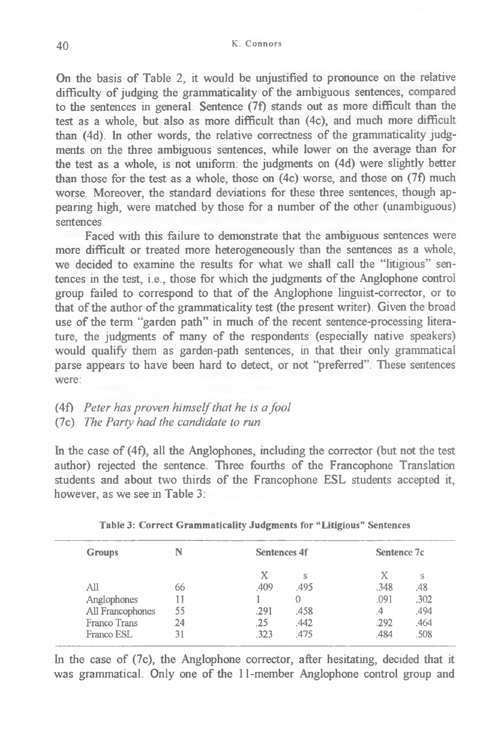On the basis of Table 2, it would be unjustified to pronounce on the relative difficulty of judging the grammaticality of the ambiguous sentences, compared to the sentences in general Sentence (7f) stands out as more difficult than the test as a whole, but also as more difficult than (4c), and much more difficult than (4d). In other words, the relative correctness of the grammaticality judgments on the three ambiguous sentences, while lower on the average than for the test as a whole, is not uniform: the judgments on (4d) were slightly better than those for the test as a whole, those on (4c) worse, and those on (7f) much worse. Moreover, the standard deviations for these three sentences, though appearing high, were matched by those for a number of the other (unambiguous) sentences.

Faced with this failure to demonstrate that the ambiguous sentences were more difficult or treated more heterogeneously than the sentences as a whole, we decided to examine the results for what we shall call the "litigious" sentences in the test, i.e., those for which the judgments of the Anglophone control group failed to correspond to that of the Anglophone linguist-corrector, or to that of the author of the grammaticality test (the present writer). Given the broad use of the term "garden path" in much of the recent sentence-processing literature, the judgments of many of the respondents (especially native speakers) would qualify them as garden-path sentences, in that their only grammatical parse appears to have been hard to detect, or not "preferred". These sentences were:

- (4f) *Peter has proven himself that he is a fool*
- (7c) *The Party had the candidate to run*

In the case of (4f), all the Anglophones, including the corrector (but not the test author) rejected the sentence. Three fourths of the Francophone Translation students and about two thirds of the Francophone ESL students accepted it, however, as we see in Table 3:

| <b>Groups</b>    |    | <b>Sentences 4f</b> |      | Sentence 7c |      |
|------------------|----|---------------------|------|-------------|------|
|                  |    | Х                   | Ś    | X           | S    |
| All              | 66 | .409                | 495  | .348        | .48  |
| Anglophones      |    |                     |      | .091        | .302 |
| All Francophones | 55 | .291                | .458 | .4          | .494 |
| Franco Trans     | 24 | .25                 | .442 | .292        | .464 |
| Franco ESL       |    | .323                | .475 | .484        | 508  |

|  | Table 3: Correct Grammaticality Judgments for "Litigious" Sentences |  |  |  |  |
|--|---------------------------------------------------------------------|--|--|--|--|
|--|---------------------------------------------------------------------|--|--|--|--|

In the case of (7c), the Anglophone corrector, after hesitating, decided that it was grammatical. Only one of the 11-member Anglophone control group and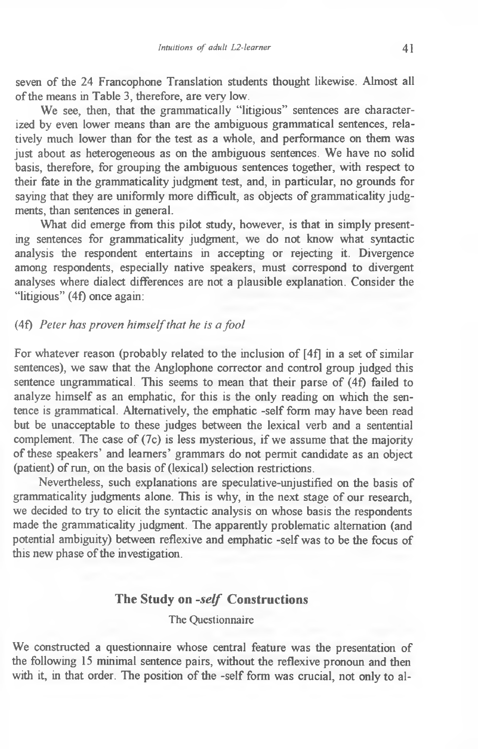seven of the 24 Francophone Translation students thought likewise. Almost all of the means in Table 3, therefore, are very low.

We see, then, that the grammatically "litigious" sentences are characterized by even lower means than are the ambiguous grammatical sentences, relatively much lower than for the test as a whole, and performance on them was just about as heterogeneous as on the ambiguous sentences. We have no solid basis, therefore, for grouping the ambiguous sentences together, with respect to their fate in the grammaticality judgment test, and, in particular, no grounds for saying that they are uniformly more difficult, as objects of grammaticality judgments, than sentences in general.

What did emerge from this pilot study, however, is that in simply presenting sentences for grammaticality judgment, we do not know what syntactic analysis the respondent entertains in accepting or rejecting it. Divergence among respondents, especially native speakers, must correspond to divergent analyses where dialect differences are not a plausible explanation. Consider the "litigious" (4f) once again:

### (4f) *Peter has proven himself that he is a fool*

For whatever reason (probably related to the inclusion of [4f] in a set of similar sentences), we saw that the Anglophone corrector and control group judged this sentence ungrammatical. This seems to mean that their parse of (4f) failed to analyze himself as an emphatic, for this is the only reading on which the sentence is grammatical. Alternatively, the emphatic -self form may have been read but be unacceptable to these judges between the lexical verb and a sentential complement. The case of (7c) is less mysterious, if we assume that the majority of these speakers' and learners' grammars do not permit candidate as an object (patient) of run, on the basis of (lexical) selection restrictions.

Nevertheless, such explanations are speculative-unjustified on the basis of grammaticality judgments alone. This is why, in the next stage of our research, we decided to try to elicit the syntactic analysis on whose basis the respondents made the grammaticality judgment. The apparently problematic alternation (and potential ambiguity) between reflexive and emphatic -self was to be the focus of this new phase of the investigation.

## **The Study on** *-self* **Constructions**

### The Questionnaire

We constructed a questionnaire whose central feature was the presentation of the following 15 minimal sentence pairs, without the reflexive pronoun and then with it, in that order. The position of the -self form was crucial, not only to al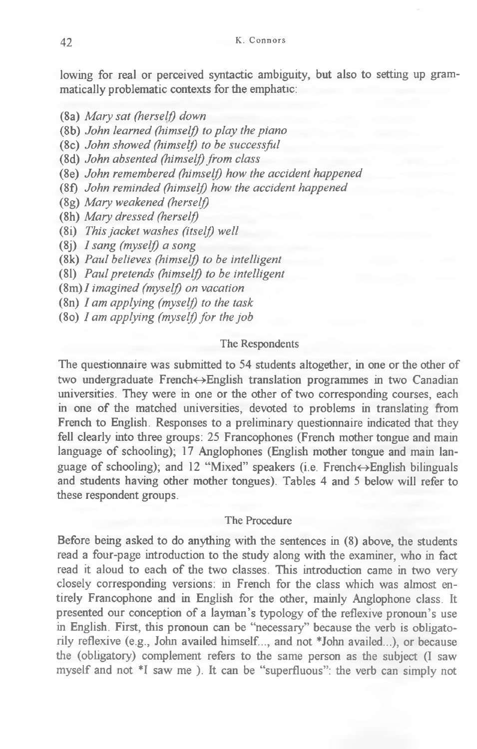lowing for real or perceived syntactic ambiguity, but also to setting up grammatically problematic contexts for the emphatic:

(8a) *Mary sat (herself) down*

- (8b) *John learned (himself) to play the piano*
- (8c) *John showed (himself) to be successful*
- (8d) *John absented (himself) from class*
- (8e) *John remembered (himself) how the accident happened*
- (8f) *John reminded (himself) how the accident happened*
- (8g) *Mary weakened (herself)*
- (8h) *Mary dressed (herself)*
- (8i) *This jacket washes (itselj) well*

(8j) *I sang (myself) a song*

- (8k) *Paul believes (himself) to be intelligent*
- (81) *Paul pretends (himself) to be intelligent*
- (8m)/ *imagined (myself) on vacation*
- (8n) *I am applying (myself) to the task*
- (8o) *I am applying (myself) for the job*

### The Respondents

The questionnaire was submitted to 54 students altogether, in one or the other of two undergraduate French<-Ænglish translation programmes in two Canadian universities. They were in one or the other of two corresponding courses, each in one of the matched universities, devoted to problems in translating from French to English. Responses to a preliminary questionnaire indicated that they fell clearly into three groups: 25 Francophones (French mother tongue and main language of schooling); 17 Anglophones (English mother tongue and main language of schooling); and 12 "Mixed" speakers (i.e. French $\leftrightarrow$ English bilinguals and students having other mother tongues). Tables 4 and 5 below will refer to these respondent groups.

#### The Procedure

Before being asked to do anything with the sentences in (8) above, the students read a four-page introduction to the study along with the examiner, who in fact read it aloud to each of the two classes. This introduction came in two very closely corresponding versions: in French for the class which was almost entirely Francophone and in English for the other, mainly Anglophone class. It presented our conception of a layman's typology of the reflexive pronoun's use in English. First, this pronoun can be "necessary" because the verb is obligatorily reflexive (e.g., John availed himself..., and not \*John availed...), or because the (obligatory) complement refers to the same person as the subject (I saw myself and not \*1 saw me ). It can be "superfluous": the verb can simply not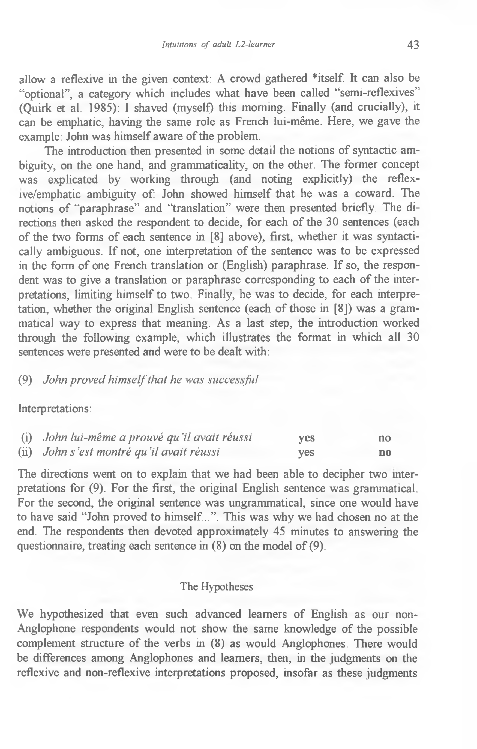allow a reflexive in the given context: A crowd gathered \*itself. It can also be "optional", a category which includes what have been called "semi-reflexives" (Quirk et al. 1985): I shaved (myself) this morning. Finally (and crucially), it can be emphatic, having the same role as French lui-même. Here, we gave the example: John was himself aware of the problem.

The introduction then presented in some detail the notions of syntactic ambiguity, on the one hand, and grammaticality, on the other. The former concept was explicated by working through (and noting explicitly) the reflexive/emphatic ambiguity of: John showed himself that he was a coward. The notions of "paraphrase" and "translation" were then presented briefly. The directions then asked the respondent to decide, for each of the 30 sentences (each of the two forms of each sentence in [8] above), first, whether it was syntactically ambiguous. If not, one interpretation of the sentence was to be expressed in the form of one French translation or (English) paraphrase. If so, the respondent was to give a translation or paraphrase corresponding to each of the interpretations, limiting himself to two. Finally, he was to decide, for each interpretation, whether the original English sentence (each of those in [8]) was a grammatical way to express that meaning. As a last step, the introduction worked through the following example, which illustrates the format in which all 30 sentences were presented and were to be dealt with:

## (9) *John proved himself that he was successful*

Interpretations:

| (i) John lui-même a prouvé qu'il avait réussi | yes | no. |
|-----------------------------------------------|-----|-----|
| (ii) John s'est montré qu'il avait réussi     | ves | no  |

The directions went on to explain that we had been able to decipher two interpretations for (9). For the first, the original English sentence was grammatical. For the second, the original sentence was ungrammatical, since one would have to have said "John proved to himself...". This was why we had chosen no at the end. The respondents then devoted approximately 45 minutes to answering the questionnaire, treating each sentence in (8) on the model of (9).

#### The Hypotheses

We hypothesized that even such advanced learners of English as our non-Anglophone respondents would not show the same knowledge of the possible complement structure of the verbs in (8) as would Anglophones. There would be differences among Anglophones and learners, then, in the judgments on the reflexive and non-reflexive interpretations proposed, insofar as these judgments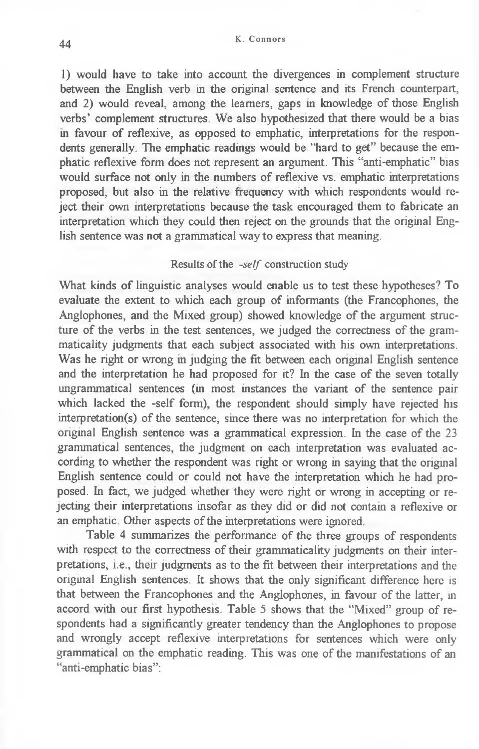1) would have to take into account the divergences in complement structure between the English verb in the original sentence and its French counterpart, and 2) would reveal, among the learners, gaps in knowledge of those English verbs' complement structures. We also hypothesized that there would be a bias in favour of reflexive, as opposed to emphatic, interpretations for the respondents generally. The emphatic readings would be "hard to get" because the emphatic reflexive form does not represent an argument. This "anti-emphatic" bias would surface not only in the numbers of reflexive vs. emphatic interpretations proposed, but also in the relative frequency with which respondents would reject their own interpretations because the task encouraged them to fabricate an interpretation which they could then reject on the grounds that the original English sentence was not a grammatical way to express that meaning.

## Results of the *-self* construction study

What kinds of linguistic analyses would enable us to test these hypotheses? To evaluate the extent to which each group of informants (the Francophones, the Anglophones, and the Mixed group) showed knowledge of the argument structure of the verbs in the test sentences, we judged the correctness of the grammaticality judgments that each subject associated with his own interpretations. Was he right or wrong in judging the fit between each original English sentence and the interpretation he had proposed for it? In the case of the seven totally ungrammatical sentences (in most instances the variant of the sentence pair which lacked the -self form), the respondent should simply have rejected his interpretation(s) of the sentence, since there was no interpretation for which the original English sentence was a grammatical expression. In the case of the 23 grammatical sentences, the judgment on each interpretation was evaluated according to whether the respondent was right or wrong in saying that the original English sentence could or could not have the interpretation which he had proposed. In fact, we judged whether they were right or wrong in accepting or rejecting their interpretations insofar as they did or did not contain a reflexive or an emphatic. Other aspects of the interpretations were ignored.

Table 4 summarizes the performance of the three groups of respondents with respect to the correctness of their grammaticality judgments on their interpretations, i.e., their judgments as to the fit between their interpretations and the original English sentences. It shows that the only significant difference here is that between the Francophones and the Anglophones, in favour of the latter, in accord with our first hypothesis. Table 5 shows that the "Mixed" group of respondents had a significantly greater tendency than the Anglophones to propose and wrongly accept reflexive interpretations for sentences which were only grammatical on the emphatic reading. This was one of the manifestations of an "anti-emphatic bias":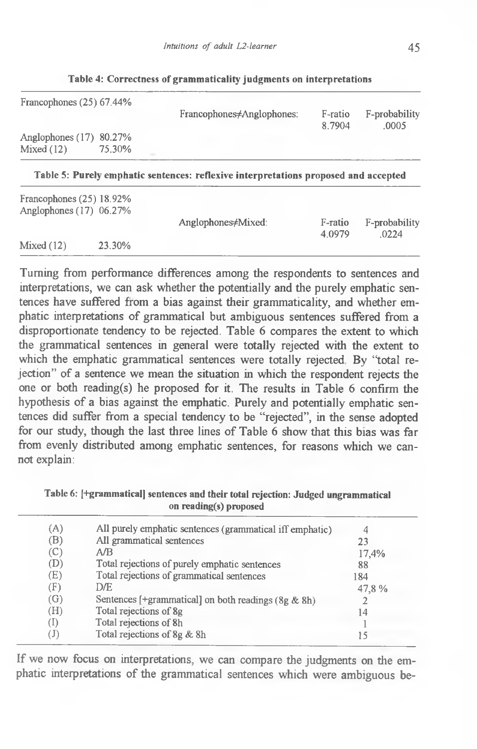| Francophones $(25)$ 67.44%              |        | Francophones≠Anglophones:                                                           | F-ratio<br>8 7904 | F-probability<br>.0005 |
|-----------------------------------------|--------|-------------------------------------------------------------------------------------|-------------------|------------------------|
| Anglophones $(17)$ 80.27%<br>Mixed (12) | 75.30% |                                                                                     |                   |                        |
|                                         |        | Table 5: Purely emphatic sentences: reflexive interpretations proposed and accepted |                   |                        |

| Table 4: Correctness of grammaticality judgments on interpretations |  |  |  |
|---------------------------------------------------------------------|--|--|--|
|---------------------------------------------------------------------|--|--|--|

| Francophones $(25)$ 18.92%<br>Anglophones (17) 06.27% |        | Anglophones <del>/</del> Mixed: | F-ratio   | F-probability |
|-------------------------------------------------------|--------|---------------------------------|-----------|---------------|
| Mixed (12)                                            | 23.30% |                                 | 4 0 9 7 9 | .0224         |

Turning from performance differences among the respondents to sentences and interpretations, we can ask whether the potentially and the purely emphatic sentences have suffered from a bias against their grammaticality, and whether emphatic interpretations of grammatical but ambiguous sentences suffered from a disproportionate tendency to be rejected. Table 6 compares the extent to which the grammatical sentences in general were totally rejected with the extent to which the emphatic grammatical sentences were totally rejected. By "total rejection" of a sentence we mean the situation in which the respondent rejects the one or both reading(s) he proposed for it. The results in Table 6 confirm the hypothesis of a bias against the emphatic. Purely and potentially emphatic sentences did suffer from a special tendency to be "rejected", in the sense adopted for our study, though the last three lines of Table 6 show that this bias was far from evenly distributed among emphatic sentences, for reasons which we cannot explain:

Table 6: [+grammatical] sentences and their total rejection: Judged ungrammatical **on reading(s) proposed**

| (A) | All purely emphatic sentences (grammatical iff emphatic) | 4     |
|-----|----------------------------------------------------------|-------|
| (B) | All grammatical sentences                                | 23    |
| (C) | A/B                                                      | 17,4% |
| (D) | Total rejections of purely emphatic sentences            | 88    |
| (E) | Total rejections of grammatical sentences                | 184   |
| (F) | DÆ.                                                      | 47,8% |
| (G) | Sentences [+grammatical] on both readings $(8g & 8h)$    |       |
| (H) | Total rejections of 8g                                   | 14    |
| (I) | Total rejections of 8h                                   |       |
| (J) | Total rejections of 8g & 8h                              | 15    |
|     |                                                          |       |

If we now focus on interpretations, we can compare the judgments on the emphatic interpretations of the grammatical sentences which were ambiguous be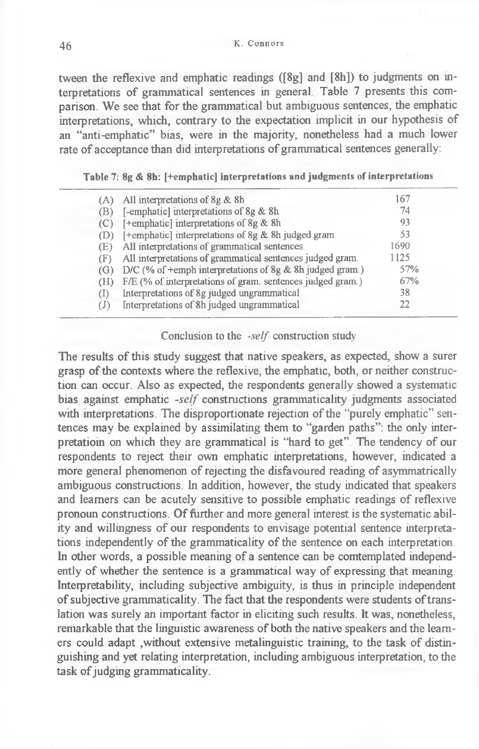tween the reflexive and emphatic readings ([8g] and [8h]) to judgments on interpretations of grammatical sentences in general Table 7 presents this comparison. We see that for the grammatical but ambiguous sentences, the emphatic interpretations, which, contrary to the expectation implicit in our hypothesis of an "anti-emphatic" bias, were in the majority, nonetheless had a much lower rate of acceptance than did interpretations of grammatical sentences generally:

## **Table 7: 8g & 8h: [+emphatic] interpretations and judgments of interpretations**

| (A)                        | All interpretations of 8g & 8h                             | 167  |  |
|----------------------------|------------------------------------------------------------|------|--|
| (B)                        | [-emphatic] interpretations of 8g & 8h                     | 74   |  |
| (C)                        | [+emphatic] interpretations of 8g & 8h                     | 93   |  |
| (D)                        | [+emphatic] interpretations of 8g & 8h judged gram.        | 53   |  |
| (E)                        | All interpretations of grammatical sentences               | 1690 |  |
| (F)                        | All interpretations of grammatical sentences judged gram.  | 1125 |  |
| (G)                        | D/C (% of +emph interpretations of 8g & 8h judged gram.)   | 57%  |  |
| (H)                        | F/E (% of interpretations of gram. sentences judged gram.) | 67%  |  |
| (I)                        | Interpretations of 8g judged ungrammatical                 | 38   |  |
| $\left( \mathrm{J}\right)$ | Interpretations of 8h judged ungrammatical                 | 22   |  |
|                            |                                                            |      |  |

### Conclusion to the *-self* construction study

The results of this study suggest that native speakers, as expected, show a surer grasp of the contexts where the reflexive, the emphatic, both, or neither construction can occur. Also as expected, the respondents generally showed a systematic bias against emphatic *-self* constructions grammaticality judgments associated with interpretations. The disproportionate rejection of the "purely emphatic" sentences may be explained by assimilating them to "garden paths": the only interpretation on which they are grammatical is "hard to get". The tendency of our respondents to reject their own emphatic interpretations, however, indicated a more general phenomenon of rejecting the disfavoured reading of asymmatrically ambiguous constructions. In addition, however, the study indicated that speakers and learners can be acutely sensitive to possible emphatic readings of reflexive pronoun constructions. Of further and more general interest is the systematic ability and willingness of our respondents to envisage potential sentence interpretations independently of the grammaticality of the sentence on each interpretation. In other words, a possible meaning of a sentence can be comtemplated independently of whether the sentence is a grammatical way of expressing that meaning. Interpretability, including subjective ambiguity, is thus in principle independent of subjective grammaticality. The fact that the respondents were students of translation was surely an important factor in eliciting such results. It was, nonetheless, remarkable that the linguistic awareness of both the native speakers and the learners could adapt ,without extensive metalinguistic training, to the task of distinguishing and yet relating interpretation, including ambiguous interpretation, to the task of judging grammaticality.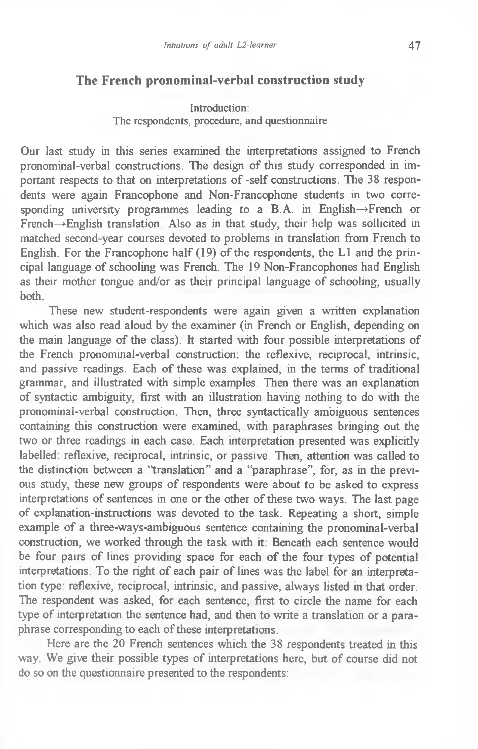# **The French pronominal-verbal construction study**

## Introduction: The respondents, procedure, and questionnaire

Our last study in this series examined the interpretations assigned to French pronominal-verbal constructions. The design of this study corresponded in important respects to that on interpretations of -self constructions. The 38 respondents were again Francophone and Non-Francophone students in two corresponding university programmes leading to a B.A. in English—»French or  $\overline{F}$  French  $\rightarrow$  English translation. Also as in that study, their help was sollicited in matched second-year courses devoted to problems in translation from French to English. For the Francophone half (19) of the respondents, the LI and the principal language of schooling was French. The 19 Non-Francophones had English as their mother tongue and/or as their principal language of schooling, usually both.

These new student-respondents were again given a written explanation which was also read aloud by the examiner (in French or English, depending on the main language of the class). It started with four possible interpretations of the French pronominal-verbal construction: the reflexive, reciprocal, intrinsic, and passive readings. Each of these was explained, in the terms of traditional grammar, and illustrated with simple examples. Then there was an explanation of syntactic ambiguity, first with an illustration having nothing to do with the pronominal-verbal construction. Then, three syntactically ambiguous sentences containing this construction were examined, with paraphrases bringing out the two or three readings in each case. Each interpretation presented was explicitly labelled: reflexive, reciprocal, intrinsic, or passive. Then, attention was called to the distinction between a "translation" and a "paraphrase", for, as in the previous study, these new groups of respondents were about to be asked to express interpretations of sentences in one or the other of these two ways. The last page of explanation-instructions was devoted to the task. Repeating a short, simple example of a three-ways-ambiguous sentence containing the pronominal-verbal construction, we worked through the task with it: Beneath each sentence would be four pairs of lines providing space for each of the four types of potential interpretations. To the right of each pair of lines was the label for an interpretation type: reflexive, reciprocal, intrinsic, and passive, always listed in that order. The respondent was asked, for each sentence, first to circle the name for each type of interpretation the sentence had, and then to write a translation or a paraphrase corresponding to each of these interpretations.

Here are the 20 French sentences which the 38 respondents treated in this way. We give their possible types of interpretations here, but of course did not do so on the questionnaire presented to the respondents: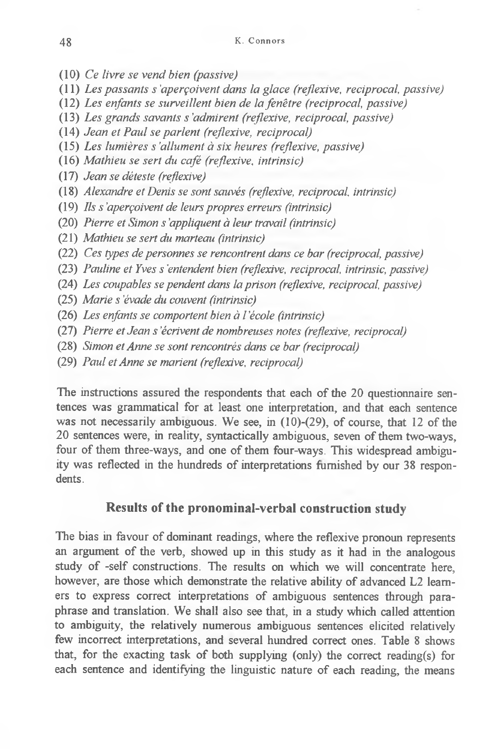- (10) *Ce livre se vend bien (passive)*
- (11) *Les passants s'aperçoivent dans la glace (reflexive, reciprocal passive)*
- (12) *Les enfants se surveillent bien de la fenêtre (reciprocal, passive)*
- (13) *Les grands savants s 'admirent (reflexive, reciprocal, passive)*
- (14) *Jean et Paul se parlent (reflexive, reciprocal)*
- (15) *Les lumières s 'allument à six heures (reflexive, passive)*
- (16) *Mathieu se sert du café (reflexive, intrinsic)*
- (17) *Jean se déteste (reflexive)*
- (18) *Alexandre et Denis se sont sauvés (reflexive, reciprocal, intrinsic)*
- (19) *Ils s 'aperçoivent de leurs propres erreurs (intrinsic)*
- (20) *Pierre et Simon s 'appliquent à leur travail (intrinsic)*
- (21) *Mathieu se sert du marteau (intrinsic)*
- (22) *Ces types de personnes se rencontrent dans ce bar (reciprocal, passive)*
- (23) *Pauline et Yves s'entendent bien (reflexive, reciprocal, intrinsic, passive)*
- (24) *Les coupables se pendent dans la prison (reflexive, reciprocal, passive)*
- (25) *Marie s'évade du couvent (intrinsic)*
- (26) *Les enfants se comportent bien à l 'école (intrinsic)*
- (27) *Pierre et Jean s 'écrivent de nombreuses notes (reflexive, reciprocal)*
- (28) *Simon et Anne se sont rencontrés dans ce bar (reciprocal)*
- (29) *Paul et Anne se marient (reflexive, reciprocal)*

The instructions assured the respondents that each of the 20 questionnaire sentences was grammatical for at least one interpretation, and that each sentence was not necessarily ambiguous. We see, in (10)-(29), of course, that 12 of the 20 sentences were, in reality, syntactically ambiguous, seven of them two-ways, four of them three-ways, and one of them four-ways. This widespread ambiguity was reflected in the hundreds of interpretations furnished by our 38 respondents.

## **Results of the pronominal-verbal construction study**

The bias in favour of dominant readings, where the reflexive pronoun represents an argument of the verb, showed up in this study as it had in the analogous study of -self constructions. The results on which we will concentrate here, however, are those which demonstrate the relative ability of advanced L2 learners to express correct interpretations of ambiguous sentences through paraphrase and translation. We shall also see that, in a study which called attention to ambiguity, the relatively numerous ambiguous sentences elicited relatively few incorrect interpretations, and several hundred correct ones. Table 8 shows that, for the exacting task of both supplying (only) the correct reading(s) for each sentence and identifying the linguistic nature of each reading, the means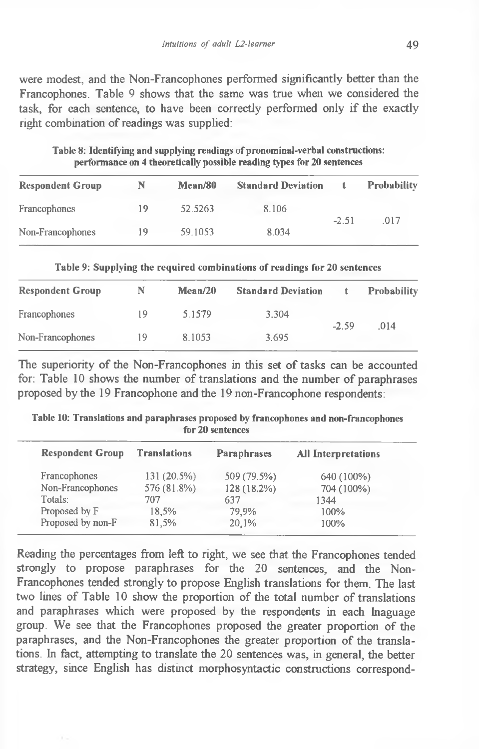were modest, and the Non-Francophones performed significantly better than the Francophones. Table 9 shows that the same was true when we considered the task, for each sentence, to have been correctly performed only if the exactly right combination of readings was supplied:

|                         |    |         | has the interest off a standard and a handron templete a hand the manufacturer. |         |                    |
|-------------------------|----|---------|---------------------------------------------------------------------------------|---------|--------------------|
| <b>Respondent Group</b> | N  | Mean/80 | <b>Standard Deviation</b>                                                       | t.      | <b>Probability</b> |
| Francophones            | 19 | 52.5263 | 8.106                                                                           | $-2.51$ |                    |
| Non-Francophones        | 19 | 59.1053 | 8.034                                                                           |         | -017               |

**Table 8: Identifying and supplying readings of pronominal-verbal constructions: performance on 4 theoretically possible reading types for 20 sentences**

| Table 9: Supplying the required combinations of readings for 20 sentences |  |  |  |
|---------------------------------------------------------------------------|--|--|--|
|---------------------------------------------------------------------------|--|--|--|

| <b>Respondent Group</b> | N  | Mean/20 | <b>Standard Deviation</b> |         | <b>Probability</b> |
|-------------------------|----|---------|---------------------------|---------|--------------------|
| Francophones            | 19 | 5.1579  | 3.304                     |         |                    |
| Non-Francophones        | 19 | 8.1053  | 3.695                     | $-2.59$ | .014               |

The superiority of the Non-Francophones in this set of tasks can be accounted for: Table 10 shows the number of translations and the number of paraphrases proposed by the 19 Francophone and the 19 non-Francophone respondents:

**Table 10: Translations and paraphrases proposed by francophones and non-francophones for 20 sentences**

| <b>Respondent Group</b> | <b>Translations</b> | <b>Paraphrases</b> | <b>All Interpretations</b> |  |
|-------------------------|---------------------|--------------------|----------------------------|--|
| Francophones            | 131 (20.5%)         | 509 (79.5%)        | 640 (100%)                 |  |
| Non-Francophones        | 576 (81.8%)         | 128 (18.2%)        | 704 (100%)                 |  |
| Totals:                 | 707                 | 637                | 1344                       |  |
| Proposed by F           | 18.5%               | 79.9%              | 100%                       |  |
| Proposed by non-F       | 81.5%               | 20.1%              | 100%                       |  |
|                         |                     |                    |                            |  |

Reading the percentages from left to right, we see that the Francophones tended strongly to propose paraphrases for the 20 sentences, and the Non-Francophones tended strongly to propose English translations for them. The last two lines of Table 10 show the proportion of the total number of translations and paraphrases which were proposed by the respondents in each lnaguage group. We see that the Francophones proposed the greater proportion of the paraphrases, and the Non-Francophones the greater proportion of the translations. In fact, attempting to translate the 20 sentences was, in general, the better strategy, since English has distinct morphosyntactic constructions correspond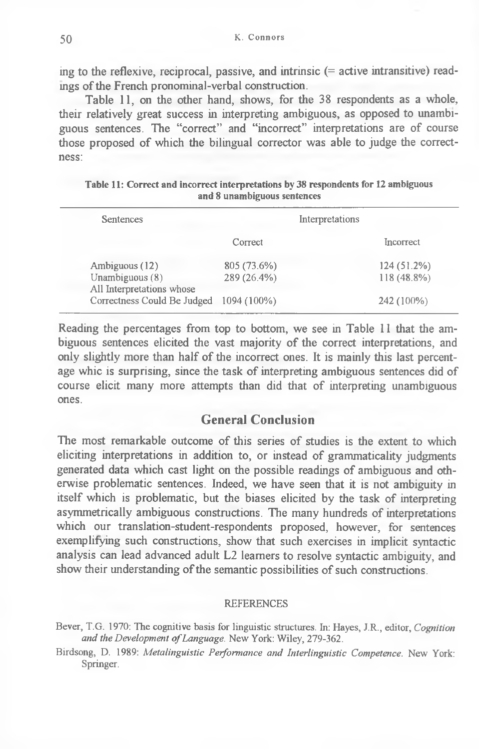ing to the reflexive, reciprocal, passive, and intrinsic (= active intransitive) readings of the French pronominal-verbal construction.

Table 11, on the other hand, shows, for the 38 respondents as a whole, their relatively great success in interpreting ambiguous, as opposed to unambiguous sentences. The "correct" and "incorrect" interpretations are of course those proposed of which the bilingual corrector was able to judge the correctness:

| Sentences                                      | Interpretations |  |               |
|------------------------------------------------|-----------------|--|---------------|
|                                                | Correct         |  | Incorrect     |
| Ambiguous (12)                                 | 805 (73.6%)     |  | $124(51.2\%)$ |
| Unambiguous $(8)$<br>All Interpretations whose | 289 (26.4%)     |  | 118 (48.8%)   |
| Correctness Could Be Judged                    | 1094 (100%)     |  | 242 (100%)    |

| Table 11: Correct and incorrect interpretations by 38 respondents for 12 ambiguous |  |  |  |  |  |
|------------------------------------------------------------------------------------|--|--|--|--|--|
| and 8 unambiguous sentences                                                        |  |  |  |  |  |

Reading the percentages from top to bottom, we see in Table 11 that the ambiguous sentences elicited the vast majority of the correct interpretations, and only slightly more than half of the incorrect ones. It is mainly this last percentage whic is surprising, since the task of interpreting ambiguous sentences did of course elicit many more attempts than did that of interpreting unambiguous ones.

# **General Conclusion**

The most remarkable outcome of this series of studies is the extent to which eliciting interpretations in addition to, or instead of grammaticality judgments generated data which cast light on the possible readings of ambiguous and otherwise problematic sentences. Indeed, we have seen that it is not ambiguity in itself which is problematic, but the biases elicited by the task of interpreting asymmetrically ambiguous constructions. The many hundreds of interpretations which our translation-student-respondents proposed, however, for sentences exemplifying such constructions, show that such exercises in implicit syntactic analysis can lead advanced adult L2 learners to resolve syntactic ambiguity, and show their understanding of the semantic possibilities of such constructions.

#### **REFERENCES**

Bever, T.G. 1970: The cognitive basis for linguistic structures. In: Hayes, J.R., editor, *Cognition* and the Development of Language. New York: Wiley, 279-362.

**Birdsong, D. 1989:** *Metalinguistic Performance and Interlinguistic Competence.* **New York: Springer.**